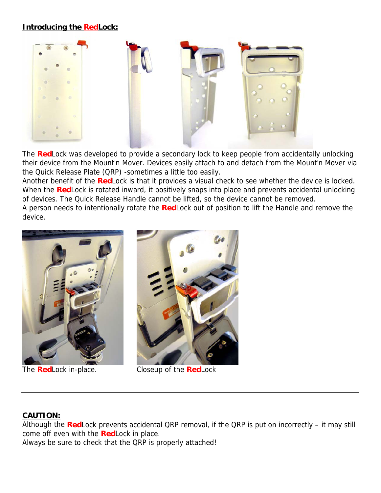## **Introducing the RedLock:**



The **Red**Lock was developed to provide a secondary lock to keep people from accidentally unlocking their device from the Mount'n Mover. Devices easily attach to and detach from the Mount'n Mover via the Quick Release Plate (QRP) -sometimes a little too easily.

Another benefit of the **Red**Lock is that it provides a visual check to see whether the device is locked. When the **Red**Lock is rotated inward, it positively snaps into place and prevents accidental unlocking of devices. The Quick Release Handle cannot be lifted, so the device cannot be removed.

A person needs to intentionally rotate the **Red**Lock out of position to lift the Handle and remove the device.





The **Red**Lock in-place. Closeup of the **Red**Lock

## **CAUTION:**

Although the **Red**Lock prevents accidental QRP removal, if the QRP is put on incorrectly – it may still come off even with the **Red**Lock in place.

Always be sure to check that the QRP is properly attached!

 $\mathbb{R}$